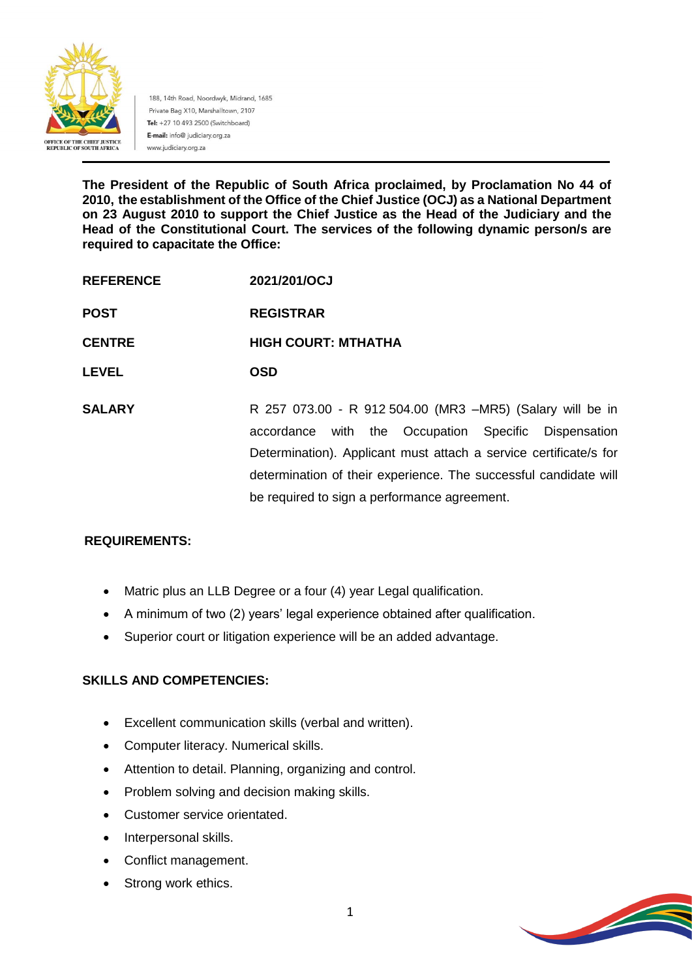

188, 14th Road, Noordwyk, Midrand, 1685 Private Bag X10, Marshalltown, 2107 Tel: +27 10 493 2500 (Switchboard) E-mail: info@ judiciary.org.za www.judiciary.org.za

**The President of the Republic of South Africa proclaimed, by Proclamation No 44 of 2010, the establishment of the Office of the Chief Justice (OCJ) as a National Department on 23 August 2010 to support the Chief Justice as the Head of the Judiciary and the Head of the Constitutional Court. The services of the following dynamic person/s are required to capacitate the Office:**

- **REFERENCE 2021/201/OCJ**
- **POST REGISTRAR**

**CENTRE HIGH COURT: MTHATHA**

**LEVEL OSD**

**SALARY** R 257 073.00 - R 912 504.00 (MR3 –MR5) (Salary will be in accordance with the Occupation Specific Dispensation Determination). Applicant must attach a service certificate/s for determination of their experience. The successful candidate will be required to sign a performance agreement.

## **REQUIREMENTS:**

- Matric plus an LLB Degree or a four (4) year Legal qualification.
- A minimum of two (2) years' legal experience obtained after qualification.
- Superior court or litigation experience will be an added advantage.

## **SKILLS AND COMPETENCIES:**

- Excellent communication skills (verbal and written).
- Computer literacy. Numerical skills.
- Attention to detail. Planning, organizing and control.
- Problem solving and decision making skills.
- Customer service orientated.
- Interpersonal skills.
- Conflict management.
- Strong work ethics.

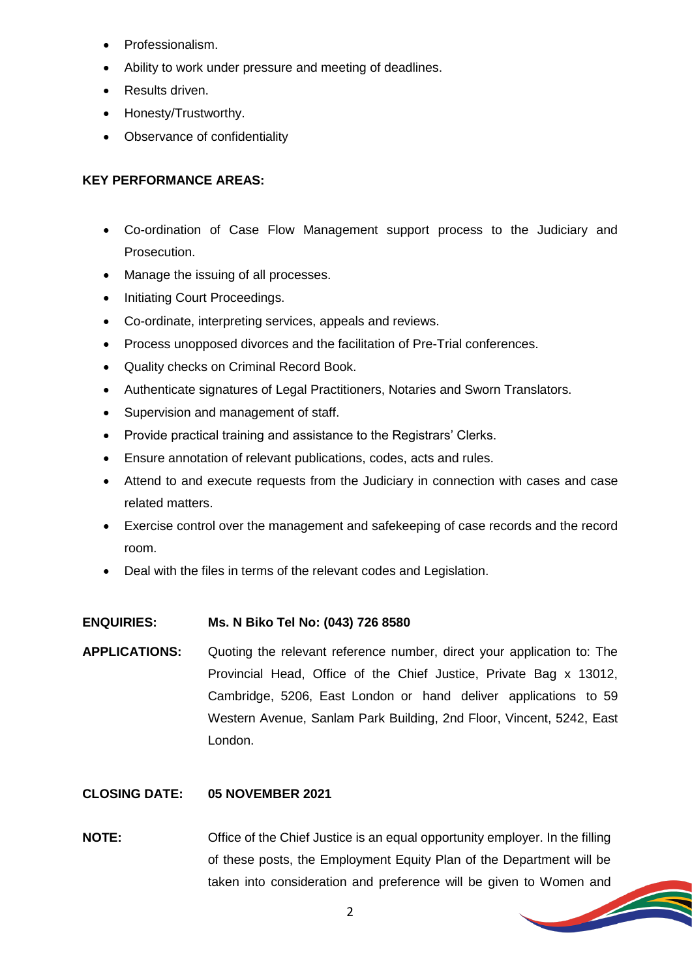- Professionalism.
- Ability to work under pressure and meeting of deadlines.
- Results driven.
- Honesty/Trustworthy.
- Observance of confidentiality

### **KEY PERFORMANCE AREAS:**

- Co-ordination of Case Flow Management support process to the Judiciary and Prosecution.
- Manage the issuing of all processes.
- Initiating Court Proceedings.
- Co-ordinate, interpreting services, appeals and reviews.
- Process unopposed divorces and the facilitation of Pre-Trial conferences.
- Quality checks on Criminal Record Book.
- Authenticate signatures of Legal Practitioners, Notaries and Sworn Translators.
- Supervision and management of staff.
- Provide practical training and assistance to the Registrars' Clerks.
- Ensure annotation of relevant publications, codes, acts and rules.
- Attend to and execute requests from the Judiciary in connection with cases and case related matters.
- Exercise control over the management and safekeeping of case records and the record room.
- Deal with the files in terms of the relevant codes and Legislation.

#### **ENQUIRIES: Ms. N Biko Tel No: (043) 726 8580**

**APPLICATIONS:** Quoting the relevant reference number, direct your application to: The Provincial Head, Office of the Chief Justice, Private Bag x 13012, Cambridge, 5206, East London or hand deliver applications to 59 Western Avenue, Sanlam Park Building, 2nd Floor, Vincent, 5242, East London.

#### **CLOSING DATE: 05 NOVEMBER 2021**

**NOTE:** Office of the Chief Justice is an equal opportunity employer. In the filling of these posts, the Employment Equity Plan of the Department will be taken into consideration and preference will be given to Women and



**STEAMERS**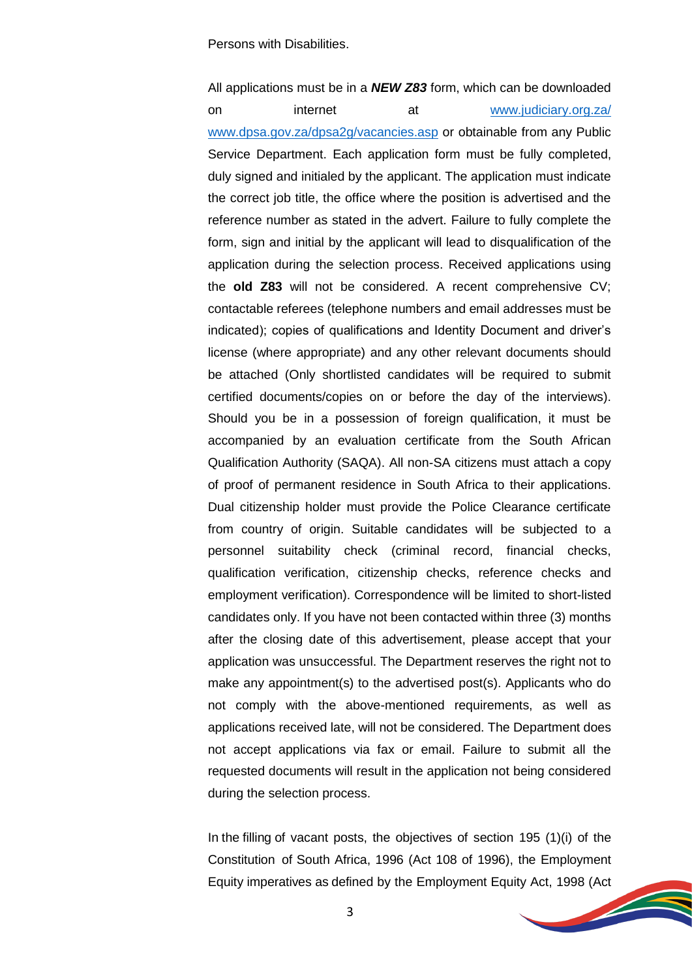Persons with Disabilities.

All applications must be in a *NEW Z83* form, which can be downloaded on internet at [www.judiciary.org.za/](http://www.judiciary.org.za/) [www.dpsa.gov.za/dpsa2g/vacancies.asp](http://www.dpsa.gov.za/dpsa2g/vacancies.asp) or obtainable from any Public Service Department. Each application form must be fully completed, duly signed and initialed by the applicant. The application must indicate the correct job title, the office where the position is advertised and the reference number as stated in the advert. Failure to fully complete the form, sign and initial by the applicant will lead to disqualification of the application during the selection process. Received applications using the **old Z83** will not be considered. A recent comprehensive CV; contactable referees (telephone numbers and email addresses must be indicated); copies of qualifications and Identity Document and driver's license (where appropriate) and any other relevant documents should be attached (Only shortlisted candidates will be required to submit certified documents/copies on or before the day of the interviews). Should you be in a possession of foreign qualification, it must be accompanied by an evaluation certificate from the South African Qualification Authority (SAQA). All non-SA citizens must attach a copy of proof of permanent residence in South Africa to their applications. Dual citizenship holder must provide the Police Clearance certificate from country of origin. Suitable candidates will be subjected to a personnel suitability check (criminal record, financial checks, qualification verification, citizenship checks, reference checks and employment verification). Correspondence will be limited to short-listed candidates only. If you have not been contacted within three (3) months after the closing date of this advertisement, please accept that your application was unsuccessful. The Department reserves the right not to make any appointment(s) to the advertised post(s). Applicants who do not comply with the above-mentioned requirements, as well as applications received late, will not be considered. The Department does not accept applications via fax or email. Failure to submit all the requested documents will result in the application not being considered during the selection process.

In the filling of vacant posts, the objectives of section 195 (1)(i) of the Constitution of South Africa, 1996 (Act 108 of 1996), the Employment Equity imperatives as defined by the Employment Equity Act, 1998 (Act

**Soldiers** 



3